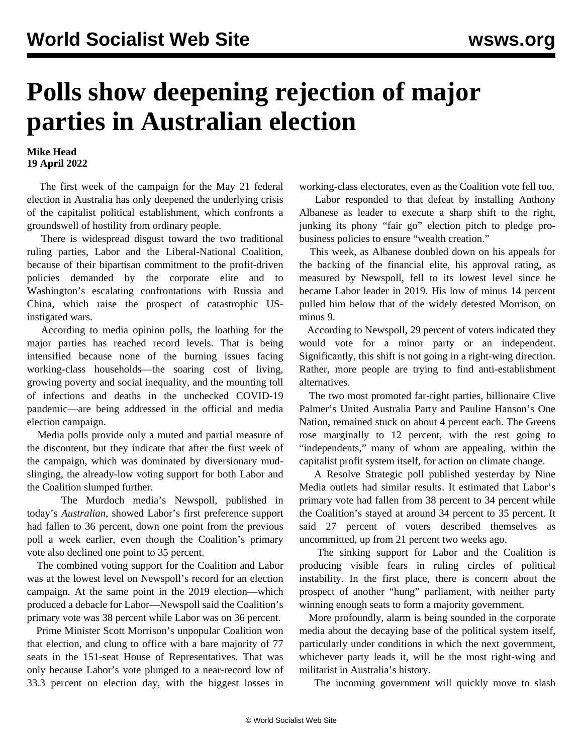## **Polls show deepening rejection of major parties in Australian election**

## **Mike Head 19 April 2022**

 The first week of the campaign for the May 21 federal election in Australia has only deepened the underlying crisis of the capitalist political establishment, which confronts a groundswell of hostility from ordinary people.

 There is widespread disgust toward the two traditional ruling parties, Labor and the Liberal-National Coalition, because of their bipartisan commitment to the profit-driven policies demanded by the corporate elite and to Washington's escalating confrontations with Russia and China, which raise the prospect of catastrophic USinstigated wars.

 According to media opinion polls, the loathing for the major parties has reached record levels. That is being intensified because none of the burning issues facing working-class households—the soaring cost of living, growing poverty and social inequality, and the mounting toll of infections and deaths in the unchecked COVID-19 pandemic—are being addressed in the official and media election campaign.

 Media polls provide only a muted and partial measure of the discontent, but they indicate that after the first week of the campaign, which was dominated by diversionary mudslinging, the already-low voting support for both Labor and the Coalition slumped further.

 The Murdoch media's Newspoll, published in today's *Australian*, showed Labor's first preference support had fallen to 36 percent, down one point from the previous poll a week earlier, even though the Coalition's primary vote also declined one point to 35 percent.

 The combined voting support for the Coalition and Labor was at the lowest level on Newspoll's record for an election campaign. At the same point in the 2019 election—which produced a debacle for Labor—Newspoll said the Coalition's primary vote was 38 percent while Labor was on 36 percent.

 Prime Minister Scott Morrison's unpopular Coalition won that election, and clung to office with a bare majority of 77 seats in the 151-seat House of Representatives. That was only because Labor's vote plunged to a near-record low of 33.3 percent on election day, with the biggest losses in working-class electorates, even as the Coalition vote fell too.

 Labor responded to that defeat by installing Anthony Albanese as leader to execute a sharp shift to the right, junking its phony "fair go" election pitch to pledge probusiness policies to ensure "wealth creation."

 This week, as Albanese doubled down on his appeals for the backing of the financial elite, his approval rating, as measured by Newspoll, fell to its lowest level since he became Labor leader in 2019. His low of minus 14 percent pulled him below that of the widely detested Morrison, on minus 9.

 According to Newspoll, 29 percent of voters indicated they would vote for a minor party or an independent. Significantly, this shift is not going in a right-wing direction. Rather, more people are trying to find anti-establishment alternatives.

 The two most promoted far-right parties, billionaire Clive Palmer's United Australia Party and Pauline Hanson's One Nation, remained stuck on about 4 percent each. The Greens rose marginally to 12 percent, with the rest going to "independents," many of whom are appealing, within the capitalist profit system itself, for action on climate change.

 A Resolve Strategic poll published yesterday by Nine Media outlets had similar results. It estimated that Labor's primary vote had fallen from 38 percent to 34 percent while the Coalition's stayed at around 34 percent to 35 percent. It said 27 percent of voters described themselves as uncommitted, up from 21 percent two weeks ago.

 The sinking support for Labor and the Coalition is producing visible fears in ruling circles of political instability. In the first place, there is concern about the prospect of another "hung" parliament, with neither party winning enough seats to form a majority government.

 More profoundly, alarm is being sounded in the corporate media about the decaying base of the political system itself, particularly under conditions in which the next government, whichever party leads it, will be the most right-wing and militarist in Australia's history.

The incoming government will quickly move to slash